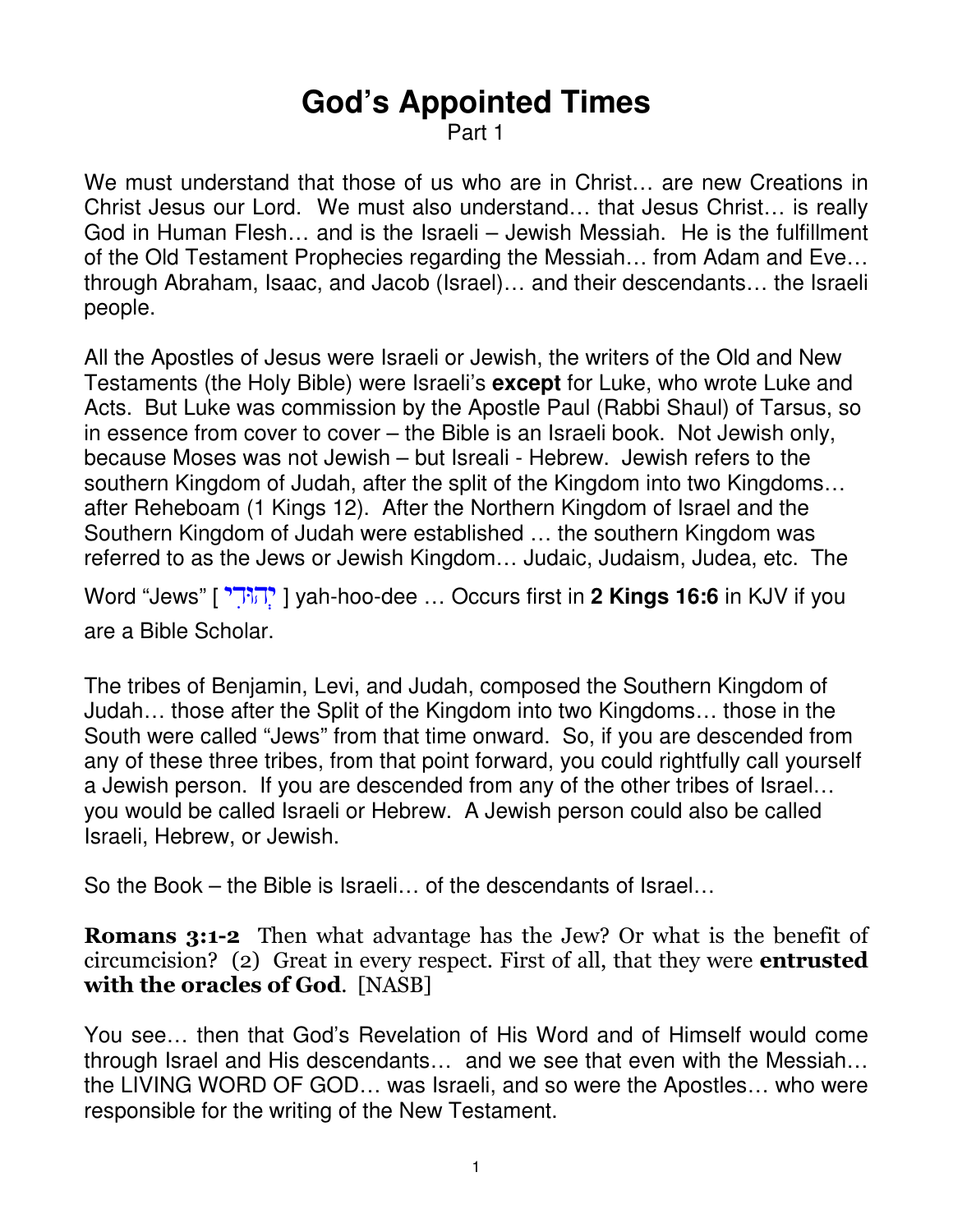# **God's Appointed Times**

Part 1

We must understand that those of us who are in Christ… are new Creations in Christ Jesus our Lord. We must also understand… that Jesus Christ… is really God in Human Flesh… and is the Israeli – Jewish Messiah. He is the fulfillment of the Old Testament Prophecies regarding the Messiah… from Adam and Eve… through Abraham, Isaac, and Jacob (Israel)… and their descendants… the Israeli people.

All the Apostles of Jesus were Israeli or Jewish, the writers of the Old and New Testaments (the Holy Bible) were Israeli's **except** for Luke, who wrote Luke and Acts. But Luke was commission by the Apostle Paul (Rabbi Shaul) of Tarsus, so in essence from cover to cover – the Bible is an Israeli book. Not Jewish only, because Moses was not Jewish – but Isreali - Hebrew. Jewish refers to the southern Kingdom of Judah, after the split of the Kingdom into two Kingdoms… after Reheboam (1 Kings 12). After the Northern Kingdom of Israel and the Southern Kingdom of Judah were established … the southern Kingdom was referred to as the Jews or Jewish Kingdom… Judaic, Judaism, Judea, etc. The

Word "Jews" [ דיִיהוְּ [ yah-hoo-dee … Occurs first in **2 Kings 16:6** in KJV if you are a Bible Scholar.

The tribes of Benjamin, Levi, and Judah, composed the Southern Kingdom of Judah… those after the Split of the Kingdom into two Kingdoms… those in the South were called "Jews" from that time onward. So, if you are descended from any of these three tribes, from that point forward, you could rightfully call yourself a Jewish person. If you are descended from any of the other tribes of Israel… you would be called Israeli or Hebrew. A Jewish person could also be called Israeli, Hebrew, or Jewish.

So the Book – the Bible is Israeli… of the descendants of Israel…

Romans 3:1-2 Then what advantage has the Jew? Or what is the benefit of circumcision? (2) Great in every respect. First of all, that they were entrusted with the oracles of God. [NASB]

You see… then that God's Revelation of His Word and of Himself would come through Israel and His descendants… and we see that even with the Messiah… the LIVING WORD OF GOD… was Israeli, and so were the Apostles… who were responsible for the writing of the New Testament.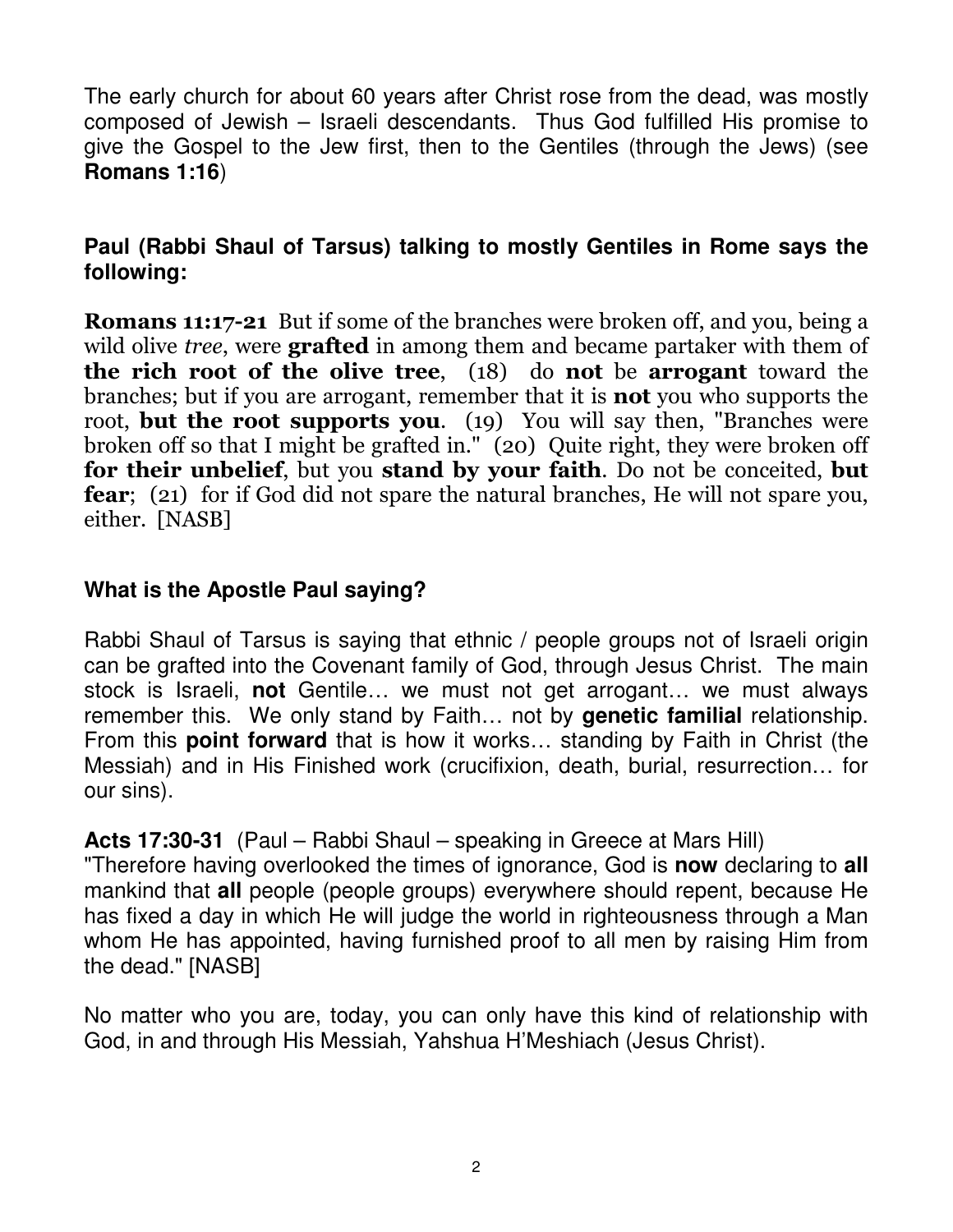The early church for about 60 years after Christ rose from the dead, was mostly composed of Jewish – Israeli descendants. Thus God fulfilled His promise to give the Gospel to the Jew first, then to the Gentiles (through the Jews) (see **Romans 1:16**)

## **Paul (Rabbi Shaul of Tarsus) talking to mostly Gentiles in Rome says the following:**

Romans 11:17-21 But if some of the branches were broken off, and you, being a wild olive *tree*, were **grafted** in among them and became partaker with them of the rich root of the olive tree, (18) do not be arrogant toward the branches; but if you are arrogant, remember that it is not you who supports the root, **but the root supports you.** (19) You will say then, "Branches were broken off so that I might be grafted in." (20) Quite right, they were broken off for their unbelief, but you stand by your faith. Do not be conceited, but fear; (21) for if God did not spare the natural branches, He will not spare you, either. [NASB]

## **What is the Apostle Paul saying?**

Rabbi Shaul of Tarsus is saying that ethnic / people groups not of Israeli origin can be grafted into the Covenant family of God, through Jesus Christ. The main stock is Israeli, **not** Gentile… we must not get arrogant… we must always remember this. We only stand by Faith… not by **genetic familial** relationship. From this **point forward** that is how it works… standing by Faith in Christ (the Messiah) and in His Finished work (crucifixion, death, burial, resurrection… for our sins).

**Acts 17:30-31** (Paul – Rabbi Shaul – speaking in Greece at Mars Hill)

"Therefore having overlooked the times of ignorance, God is **now** declaring to **all** mankind that **all** people (people groups) everywhere should repent, because He has fixed a day in which He will judge the world in righteousness through a Man whom He has appointed, having furnished proof to all men by raising Him from the dead." [NASB]

No matter who you are, today, you can only have this kind of relationship with God, in and through His Messiah, Yahshua H'Meshiach (Jesus Christ).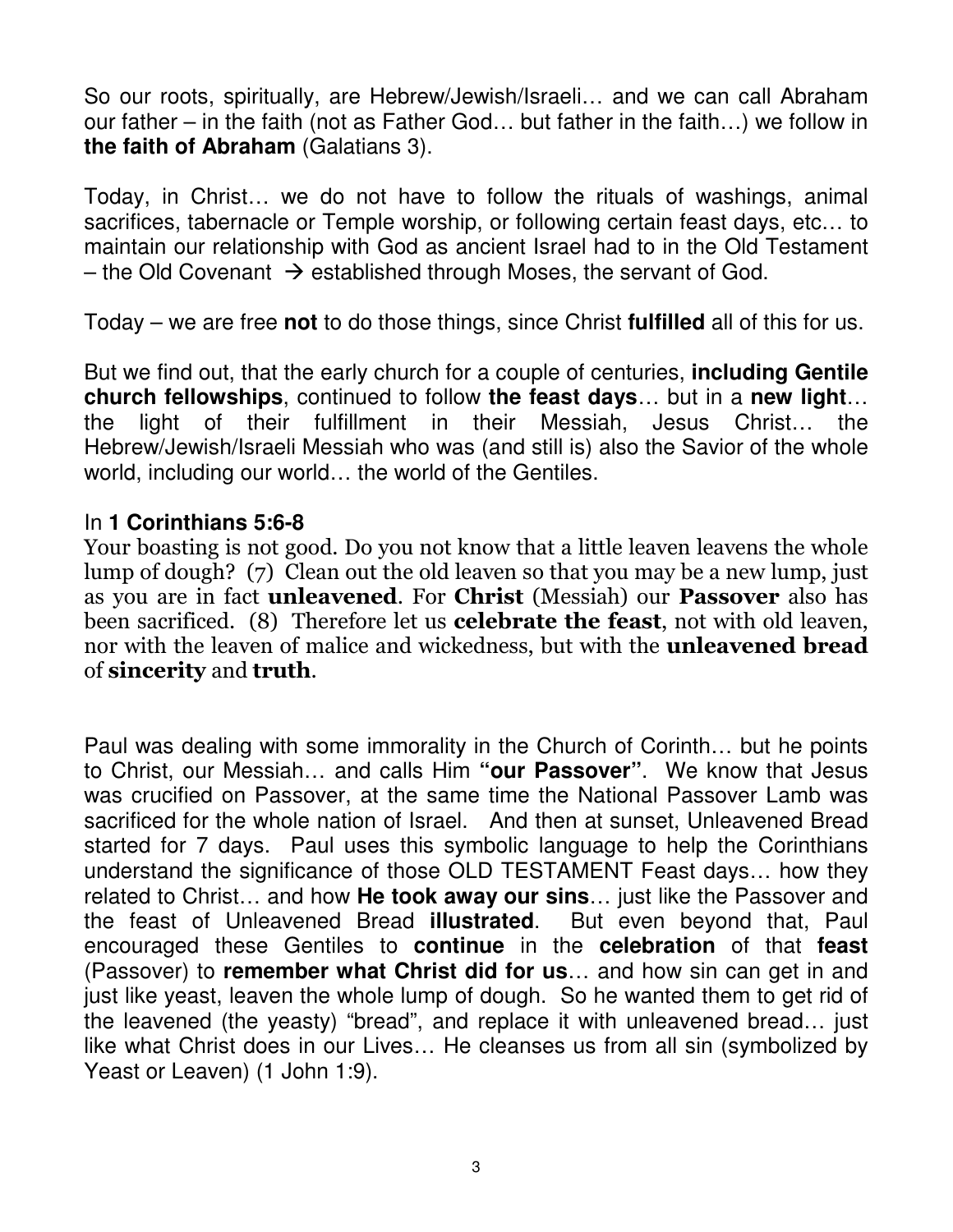So our roots, spiritually, are Hebrew/Jewish/Israeli… and we can call Abraham our father – in the faith (not as Father God… but father in the faith…) we follow in **the faith of Abraham** (Galatians 3).

Today, in Christ… we do not have to follow the rituals of washings, animal sacrifices, tabernacle or Temple worship, or following certain feast days, etc… to maintain our relationship with God as ancient Israel had to in the Old Testament – the Old Covenant  $\rightarrow$  established through Moses, the servant of God.

Today – we are free **not** to do those things, since Christ **fulfilled** all of this for us.

But we find out, that the early church for a couple of centuries, **including Gentile church fellowships**, continued to follow **the feast days**… but in a **new light**… the light of their fulfillment in their Messiah, Jesus Christ… the Hebrew/Jewish/Israeli Messiah who was (and still is) also the Savior of the whole world, including our world… the world of the Gentiles.

#### In **1 Corinthians 5:6-8**

Your boasting is not good. Do you not know that a little leaven leavens the whole lump of dough? (7) Clean out the old leaven so that you may be a new lump, just as you are in fact unleavened. For Christ (Messiah) our Passover also has been sacrificed. (8) Therefore let us **celebrate the feast**, not with old leaven, nor with the leaven of malice and wickedness, but with the unleavened bread of sincerity and truth.

Paul was dealing with some immorality in the Church of Corinth… but he points to Christ, our Messiah… and calls Him **"our Passover"**. We know that Jesus was crucified on Passover, at the same time the National Passover Lamb was sacrificed for the whole nation of Israel. And then at sunset, Unleavened Bread started for 7 days. Paul uses this symbolic language to help the Corinthians understand the significance of those OLD TESTAMENT Feast days… how they related to Christ… and how **He took away our sins**… just like the Passover and the feast of Unleavened Bread **illustrated**. But even beyond that, Paul encouraged these Gentiles to **continue** in the **celebration** of that **feast** (Passover) to **remember what Christ did for us**… and how sin can get in and just like yeast, leaven the whole lump of dough. So he wanted them to get rid of the leavened (the yeasty) "bread", and replace it with unleavened bread… just like what Christ does in our Lives… He cleanses us from all sin (symbolized by Yeast or Leaven) (1 John 1:9).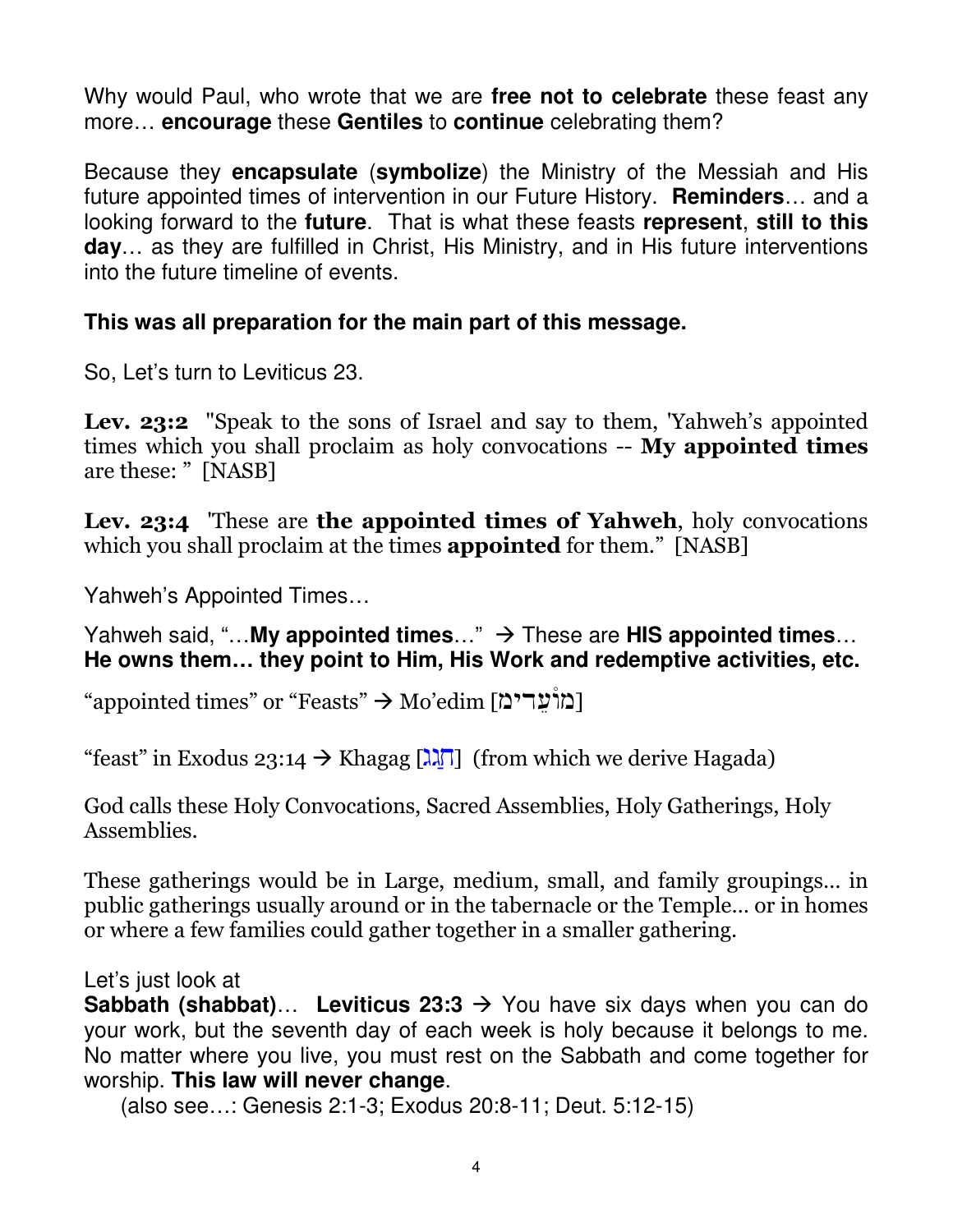Why would Paul, who wrote that we are **free not to celebrate** these feast any more… **encourage** these **Gentiles** to **continue** celebrating them?

Because they **encapsulate** (**symbolize**) the Ministry of the Messiah and His future appointed times of intervention in our Future History. **Reminders**… and a looking forward to the **future**. That is what these feasts **represent**, **still to this day**… as they are fulfilled in Christ, His Ministry, and in His future interventions into the future timeline of events.

## **This was all preparation for the main part of this message.**

So, Let's turn to Leviticus 23.

Lev. 23:2 "Speak to the sons of Israel and say to them, 'Yahweh's appointed times which you shall proclaim as holy convocations -- My appointed times are these: " [NASB]

Lev. 23:4 These are the appointed times of Yahweh, holy convocations which you shall proclaim at the times **appointed** for them." [NASB]

Yahweh's Appointed Times…

Yahweh said, "...My appointed times..." → These are HIS appointed times... **He owns them… they point to Him, His Work and redemptive activities, etc.**

"appointed times" or "Feasts"  $\rightarrow$ Mo'edim [מוֹעַריבֿ

"feast" in Exodus 23:14  $\rightarrow$  Khagag [ $\lambda$  $\overline{\lambda}$ ] (from which we derive Hagada)

God calls these Holy Convocations, Sacred Assemblies, Holy Gatherings, Holy Assemblies.

These gatherings would be in Large, medium, small, and family groupings… in public gatherings usually around or in the tabernacle or the Temple… or in homes or where a few families could gather together in a smaller gathering.

Let's just look at

**Sabbath (shabbat)... Leviticus 23:3**  $\rightarrow$  **You have six days when you can do** your work, but the seventh day of each week is holy because it belongs to me. No matter where you live, you must rest on the Sabbath and come together for worship. **This law will never change**.

(also see…: Genesis 2:1-3; Exodus 20:8-11; Deut. 5:12-15)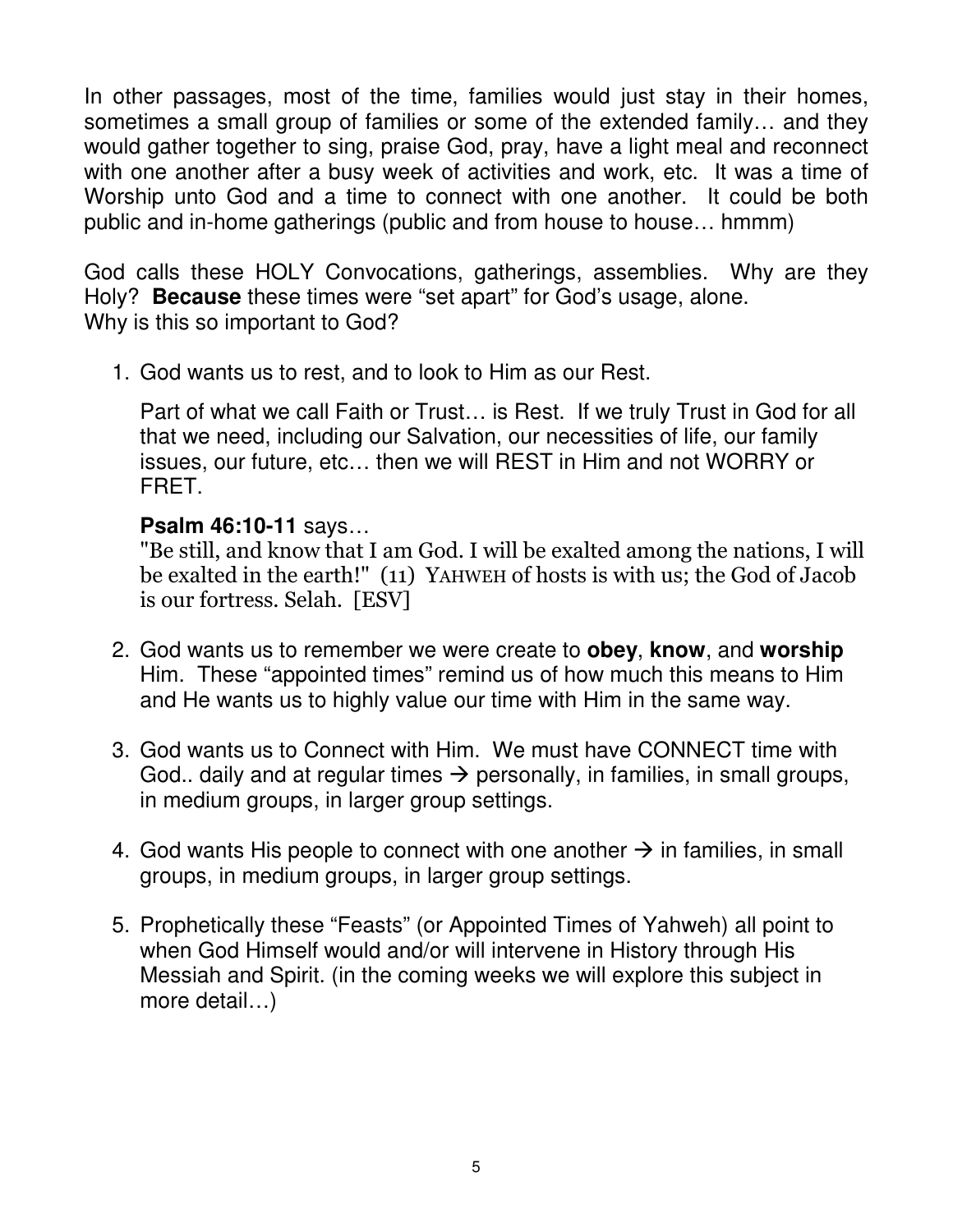In other passages, most of the time, families would just stay in their homes, sometimes a small group of families or some of the extended family… and they would gather together to sing, praise God, pray, have a light meal and reconnect with one another after a busy week of activities and work, etc. It was a time of Worship unto God and a time to connect with one another. It could be both public and in-home gatherings (public and from house to house… hmmm)

God calls these HOLY Convocations, gatherings, assemblies. Why are they Holy? **Because** these times were "set apart" for God's usage, alone. Why is this so important to God?

1. God wants us to rest, and to look to Him as our Rest.

Part of what we call Faith or Trust… is Rest. If we truly Trust in God for all that we need, including our Salvation, our necessities of life, our family issues, our future, etc… then we will REST in Him and not WORRY or FRET.

## **Psalm 46:10-11** says…

"Be still, and know that I am God. I will be exalted among the nations, I will be exalted in the earth!" (11) YAHWEH of hosts is with us; the God of Jacob is our fortress. Selah. [ESV]

- 2. God wants us to remember we were create to **obey**, **know**, and **worship** Him. These "appointed times" remind us of how much this means to Him and He wants us to highly value our time with Him in the same way.
- 3. God wants us to Connect with Him. We must have CONNECT time with God.. daily and at regular times  $\rightarrow$  personally, in families, in small groups, in medium groups, in larger group settings.
- 4. God wants His people to connect with one another  $\rightarrow$  in families, in small groups, in medium groups, in larger group settings.
- 5. Prophetically these "Feasts" (or Appointed Times of Yahweh) all point to when God Himself would and/or will intervene in History through His Messiah and Spirit. (in the coming weeks we will explore this subject in more detail…)